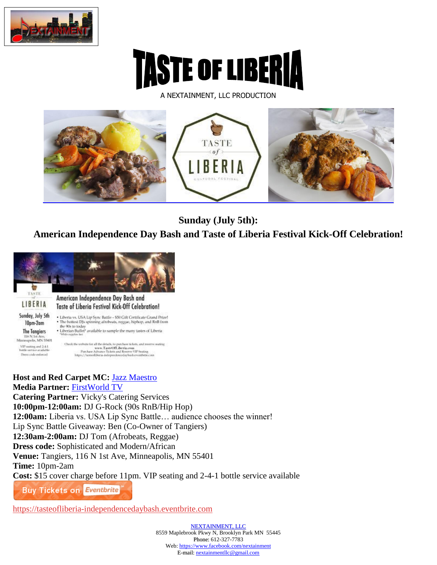

A NEXTAINMENT, LLC PRODUCTION



**Sunday (July 5th):**

**American Independence Day Bash and Taste of Liberia Festival Kick-Off Celebration!**



**Host and Red Carpet MC:** [Jazz Maestro](http://www.tasteofliberia.com/festivalevents/jazz-maestro-biography/) **Media Partner:** [FirstWorld TV](http://www.tasteofliberia.com/festivalevents/firstworldtv-biography/) **Catering Partner:** Vicky's Catering Services **10:00pm-12:00am:** DJ G-Rock (90s RnB/Hip Hop) **12:00am:** Liberia vs. USA Lip Sync Battle… audience chooses the winner! Lip Sync Battle Giveaway: Ben (Co-Owner of Tangiers) **12:30am-2:00am:** DJ Tom (Afrobeats, Reggae) **Dress code:** Sophisticated and Modern/African **Venue:** [Tangiers, 116 N 1st Ave, Minneapolis, MN 55401](http://www.thetangiersmpls.com/) **Time:** 10pm-2am **Cost:** \$15 cover charge before 11pm. VIP seating and 2-4-1 bottle service available **Buy Tickets on Eventbrite** 

[https://tasteofliberia-independencedaybash.eventbrite.com](https://www.eventbrite.com/e/american-independence-day-bash-and-taste-of-liberia-festival-kick-off-celebration-tickets-17372105435?ref=ebtn)

NEXTAINMENT, LLC 8559 Maplebrook Pkwy N, Brooklyn Park MN 55445 Phone: 612-327-7783 Web: https://www.facebook.com/nextainment E-mail: nextainmentllc@gmail.com